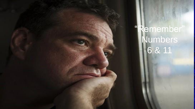"Remember" Numbers 6 & 11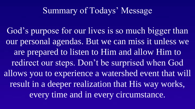# Summary of Todays' Message

God's purpose for our lives is so much bigger than our personal agendas. But we can miss it unless we are prepared to listen to Him and allow Him to redirect our steps. Don't be surprised when God allows you to experience a watershed event that will result in a deeper realization that His way works, every time and in every circumstance.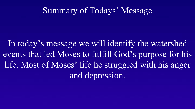# Summary of Todays' Message

In today's message we will identify the watershed events that led Moses to fulfill God's purpose for his life. Most of Moses' life he struggled with his anger and depression.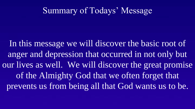# Summary of Todays' Message

In this message we will discover the basic root of anger and depression that occurred in not only but our lives as well. We will discover the great promise of the Almighty God that we often forget that prevents us from being all that God wants us to be.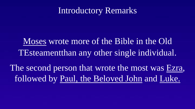# Introductory Remarks

Moses wrote more of the Bible in the Old TEsteamentthan any other single individual.

The second person that wrote the most was Ezra, followed by Paul, the Beloved John and Luke.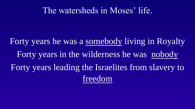#### The watersheds in Moses' life.

Forty years he was a somebody living in Royalty Forty years in the wilderness he was nobody Forty years leading the Israelites from slavery to freedom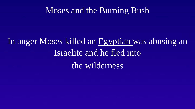## Moses and the Burning Bush

# In anger Moses killed an Egyptian was abusing an Israelite and he fled into the wilderness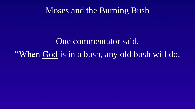#### Moses and the Burning Bush

# One commentator said, "When God is in a bush, any old bush will do.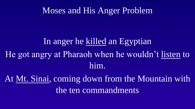#### Moses and His Anger Problem

# In anger he killed an Egyptian He got angry at Pharaoh when he wouldn't listen to him.

At Mt. Sinai, coming down from the Mountain with the ten commandments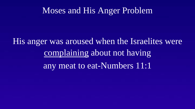#### Moses and His Anger Problem

His anger was aroused when the Israelites were complaining about not having any meat to eat-Numbers 11:1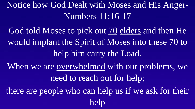Notice how God Dealt with Moses and His Anger-Numbers 11:16-17

God told Moses to pick out 70 elders and then He would implant the Spirit of Moses into these 70 to help him carry the Load.

When we are overwhelmed with our problems, we need to reach out for help;

there are people who can help us if we ask for their help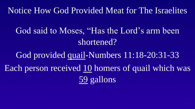# Notice How God Provided Meat for The Israelites

God said to Moses, "Has the Lord's arm been shortened?

God provided quail-Numbers 11:18-20:31-33 Each person received 10 homers of quail which was 59 gallons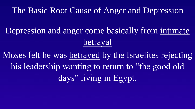## The Basic Root Cause of Anger and Depression

Depression and anger come basically from intimate betrayal

Moses felt he was betrayed by the Israelites rejecting his leadership wanting to return to "the good old days" living in Egypt.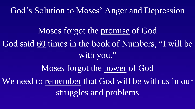God's Solution to Moses' Anger and Depression

Moses forgot the promise of God God said 60 times in the book of Numbers, "I will be with you."

Moses forgot the power of God We need to remember that God will be with us in our struggles and problems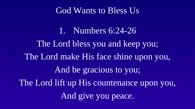#### God Wants to Bless Us

1. Numbers 6:24-26 The Lord bless you and keep you; The Lord make His face shine upon you, And be gracious to you; The Lord lift up His countenance upon you, And give you peace.